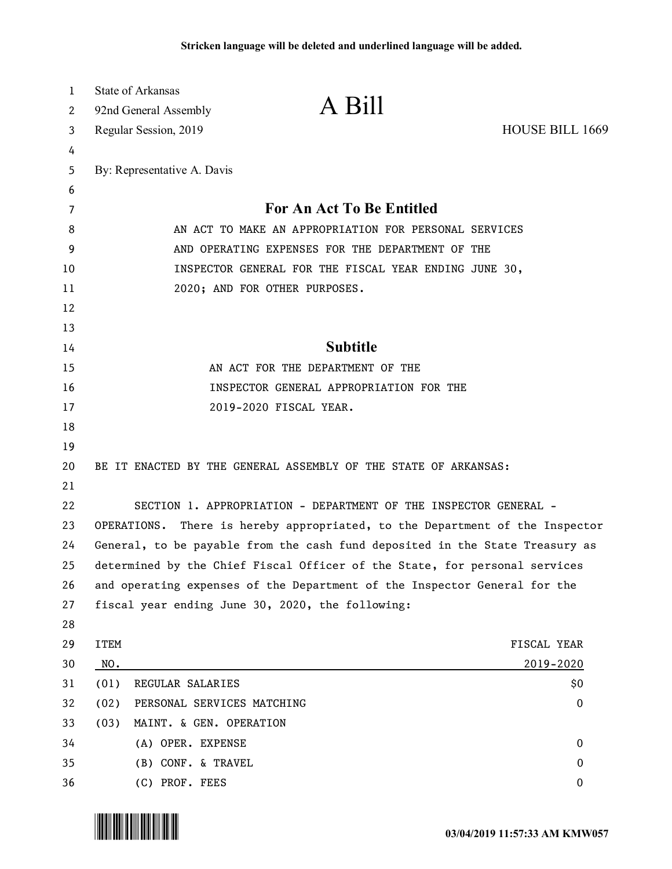| 1  | State of Arkansas                                                            |                                                                            |                        |  |
|----|------------------------------------------------------------------------------|----------------------------------------------------------------------------|------------------------|--|
| 2  | 92nd General Assembly                                                        | A Bill                                                                     |                        |  |
| 3  | Regular Session, 2019                                                        |                                                                            | <b>HOUSE BILL 1669</b> |  |
| 4  |                                                                              |                                                                            |                        |  |
| 5  | By: Representative A. Davis                                                  |                                                                            |                        |  |
| 6  |                                                                              |                                                                            |                        |  |
| 7  |                                                                              | <b>For An Act To Be Entitled</b>                                           |                        |  |
| 8  | AN ACT TO MAKE AN APPROPRIATION FOR PERSONAL SERVICES                        |                                                                            |                        |  |
| 9  | AND OPERATING EXPENSES FOR THE DEPARTMENT OF THE                             |                                                                            |                        |  |
| 10 | INSPECTOR GENERAL FOR THE FISCAL YEAR ENDING JUNE 30,                        |                                                                            |                        |  |
| 11 |                                                                              | 2020; AND FOR OTHER PURPOSES.                                              |                        |  |
| 12 |                                                                              |                                                                            |                        |  |
| 13 |                                                                              |                                                                            |                        |  |
| 14 | <b>Subtitle</b>                                                              |                                                                            |                        |  |
| 15 | AN ACT FOR THE DEPARTMENT OF THE                                             |                                                                            |                        |  |
| 16 | INSPECTOR GENERAL APPROPRIATION FOR THE                                      |                                                                            |                        |  |
| 17 |                                                                              | 2019-2020 FISCAL YEAR.                                                     |                        |  |
| 18 |                                                                              |                                                                            |                        |  |
| 19 |                                                                              |                                                                            |                        |  |
| 20 | BE IT ENACTED BY THE GENERAL ASSEMBLY OF THE STATE OF ARKANSAS:              |                                                                            |                        |  |
| 21 |                                                                              |                                                                            |                        |  |
| 22 |                                                                              | SECTION 1. APPROPRIATION - DEPARTMENT OF THE INSPECTOR GENERAL -           |                        |  |
| 23 | OPERATIONS. There is hereby appropriated, to the Department of the Inspector |                                                                            |                        |  |
| 24 | General, to be payable from the cash fund deposited in the State Treasury as |                                                                            |                        |  |
| 25 |                                                                              | determined by the Chief Fiscal Officer of the State, for personal services |                        |  |
| 26 | and operating expenses of the Department of the Inspector General for the    |                                                                            |                        |  |
| 27 |                                                                              | fiscal year ending June 30, 2020, the following:                           |                        |  |
| 28 |                                                                              |                                                                            |                        |  |
| 29 | <b>ITEM</b>                                                                  |                                                                            | FISCAL YEAR            |  |
| 30 | NO.                                                                          |                                                                            | 2019-2020              |  |
| 31 | REGULAR SALARIES<br>(01)                                                     |                                                                            | \$0                    |  |
| 32 | PERSONAL SERVICES MATCHING<br>(02)                                           |                                                                            | $\bf{0}$               |  |
| 33 | MAINT. & GEN. OPERATION<br>(03)                                              |                                                                            |                        |  |
| 34 | (A) OPER. EXPENSE                                                            |                                                                            | $\mathbf 0$            |  |
| 35 | (B) CONF. & TRAVEL                                                           |                                                                            | 0                      |  |
| 36 | (C) PROF. FEES                                                               |                                                                            | 0                      |  |